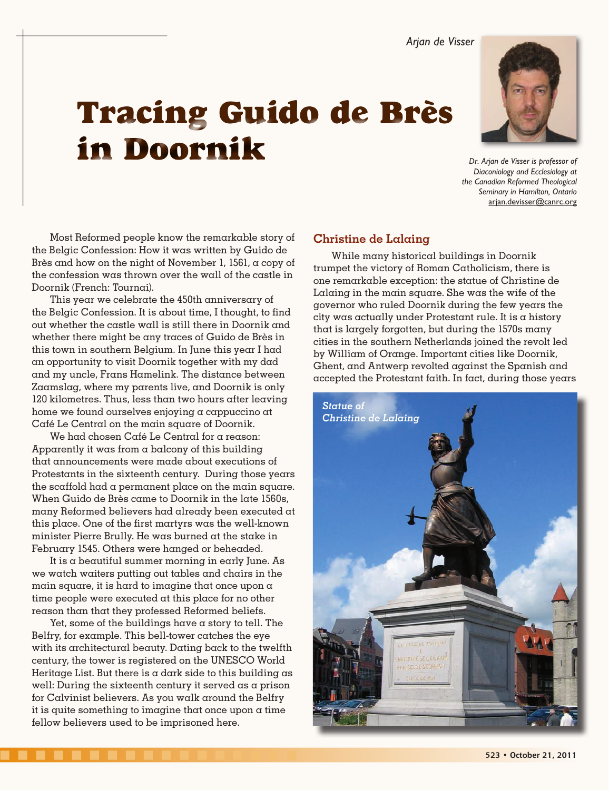Arjan de Visser

**Diaconiology and Ecclesiology at** the Canadian Reformed Theological Seminary in Hamilton, Ontario arjan.devisser@canrc.org

Tracing Guido de Brès in Doornik *b<sub>Dr. Arjan de Visser is professor of*</sub>

Most Reformed people know the remarkable story of the Belgic Confession: How it was written by Guido de Brès and how on the night of November 1, 1561, a copy of the confession was thrown over the wall of the castle in Doornik (French: Tournai).

This year we celebrate the 450th anniversary of the Belgic Confession. It is about time, I thought, to find out whether the castle wall is still there in Doornik and whether there might be any traces of Guido de Brès in this town in southern Belgium. In June this year I had an opportunity to visit Doornik together with my dad and my uncle, Frans Hamelink. The distance between Zaamslag, where my parents live, and Doornik is only 120 kilometres. Thus, less than two hours after leaving home we found ourselves enjoying a cappuccino at Café Le Central on the main square of Doornik.

We had chosen Café Le Central for a reason: Apparently it was from  $\alpha$  balcony of this building that announcements were made about executions of Protestants in the sixteenth century. During those years the scaffold had a permanent place on the main square. When Guido de Brès came to Doornik in the late 1560s, many Reformed believers had already been executed at this place. One of the first martyrs was the well-known minister Pierre Brully. He was burned at the stake in February 1545. Others were hanged or beheaded.

It is a beautiful summer morning in early June. As we watch waiters putting out tables and chairs in the main square, it is hard to imagine that once upon  $\alpha$ time people were executed at this place for no other reason than that they professed Reformed beliefs.

Yet, some of the buildings have a story to tell. The Belfry, for example. This bell-tower catches the eye with its architectural beauty. Dating back to the twelfth century, the tower is registered on the UNESCO World Heritage List. But there is a dark side to this building as well: During the sixteenth century it served as a prison for Calvinist believers. As you walk around the Belfry it is quite something to imagine that once upon a time fellow believers used to be imprisoned here.

# **Christine de Lalaing**

While many historical buildings in Doornik trumpet the victory of Roman Catholicism, there is one remarkable exception: the statue of Christine de Lalaing in the main square. She was the wife of the governor who ruled Doornik during the few years the city was actually under Protestant rule. It is a history that is largely forgotten, but during the 1570s many cities in the southern Netherlands joined the revolt led by William of Orange. Important cities like Doornik, Ghent, and Antwerp revolted against the Spanish and accepted the Protestant faith. In fact, during those years

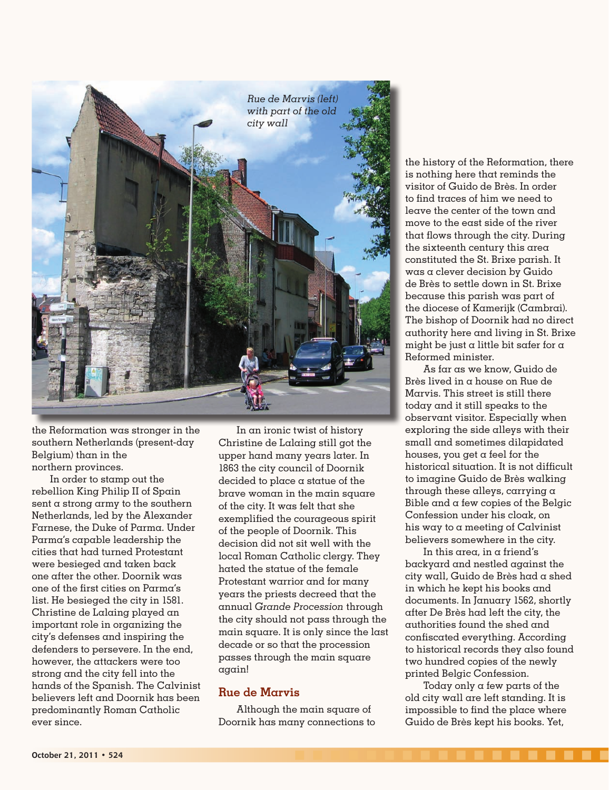

the Reformation was stronger in the southern Netherlands (present-day Belgium) than in the northern provinces.

In order to stamp out the rebellion King Philip II of Spain sent a strong army to the southern Netherlands, led by the Alexander Farnese, the Duke of Parma. Under Parma's capable leadership the cities that had turned Protestant were besieged and taken back one after the other. Doornik was one of the first cities on Parma's list. He besieged the city in 1581. Christine de Lalaing played an important role in organizing the city's defenses and inspiring the defenders to persevere. In the end, however, the attackers were too strong and the city fell into the hands of the Spanish. The Calvinist believers left and Doornik has been predominantly Roman Catholic ever since.

In an ironic twist of history Christine de Lalaing still got the upper hand many years later. In 1863 the city council of Doornik decided to place a statue of the brave woman in the main square of the city. It was felt that she exemplified the courageous spirit of the people of Doornik. This decision did not sit well with the local Roman Catholic clergy. They hated the statue of the female Protestant warrior and for many years the priests decreed that the annual *Grande Procession* through the city should not pass through the main square. It is only since the last decade or so that the procession passes through the main square again!

### **Rue de Marvis**

Although the main square of Doornik has many connections to

the history of the Reformation, there is nothing here that reminds the visitor of Guido de Brès. In order to find traces of him we need to leave the center of the town and move to the east side of the river that flows through the city. During the sixteenth century this area constituted the St. Brixe parish. It was a clever decision by Guido de Brès to settle down in St. Brixe because this parish was part of the diocese of Kamerijk (Cambrai). The bishop of Doornik had no direct authority here and living in St. Brixe might be just a little bit safer for  $\alpha$ Reformed minister.

As far as we know, Guido de Brès lived in a house on Rue de Marvis. This street is still there today and it still speaks to the observant visitor. Especially when exploring the side alleys with their small and sometimes dilapidated houses, you get  $\alpha$  feel for the historical situation. It is not difficult to imagine Guido de Brès walking through these alleys, carrying a Bible and a few copies of the Belgic Confession under his cloak, on his way to a meeting of Calvinist believers somewhere in the city.

In this area, in a friend's backyard and nestled against the city wall, Guido de Brès had a shed in which he kept his books and documents. In January 1562, shortly after De Brès had left the city, the authorities found the shed and confiscated everything. According to historical records they also found two hundred copies of the newly printed Belgic Confession.

Today only a few parts of the old city wall are left standing. It is impossible to find the place where Guido de Brès kept his books. Yet,